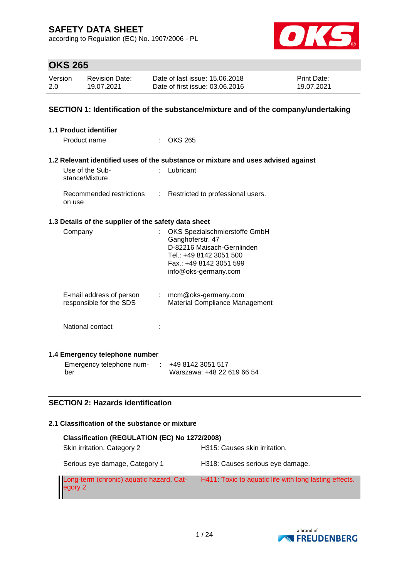according to Regulation (EC) No. 1907/2006 - PL



# **OKS 265**

| Version | <b>Revision Date:</b> | Date of last issue: 15,06,2018  | <b>Print Date:</b> |
|---------|-----------------------|---------------------------------|--------------------|
| 2.0     | 19.07.2021            | Date of first issue: 03.06.2016 | 19.07.2021         |

## **SECTION 1: Identification of the substance/mixture and of the company/undertaking**

| 1.1 Product identifier                               |    |                                                                                   |
|------------------------------------------------------|----|-----------------------------------------------------------------------------------|
| Product name                                         |    | $:$ OKS 265                                                                       |
|                                                      |    |                                                                                   |
|                                                      |    | 1.2 Relevant identified uses of the substance or mixture and uses advised against |
| Use of the Sub-<br>stance/Mixture                    | ÷. | Lubricant                                                                         |
| Recommended restrictions<br>on use                   | ÷  | Restricted to professional users.                                                 |
| 1.3 Details of the supplier of the safety data sheet |    |                                                                                   |
| Company                                              |    | OKS Spezialschmierstoffe GmbH                                                     |
|                                                      |    | Ganghoferstr. 47                                                                  |
|                                                      |    | D-82216 Maisach-Gernlinden<br>Tel.: +49 8142 3051 500                             |
|                                                      |    | Fax.: +49 8142 3051 599                                                           |
|                                                      |    | info@oks-germany.com                                                              |
|                                                      |    |                                                                                   |
| E-mail address of person                             |    | $:$ mcm@oks-germany.com                                                           |
| responsible for the SDS                              |    | Material Compliance Management                                                    |
|                                                      |    |                                                                                   |
| National contact                                     |    |                                                                                   |
|                                                      |    |                                                                                   |
| 1.4 Emergency telephone number                       |    |                                                                                   |
| Emergency telephone num-                             | ÷  | +49 8142 3051 517                                                                 |
| ber                                                  |    | Warszawa: +48 22 619 66 54                                                        |

## **SECTION 2: Hazards identification**

#### **2.1 Classification of the substance or mixture**

| Classification (REGULATION (EC) No 1272/2008)       |                                                       |  |  |  |  |  |  |
|-----------------------------------------------------|-------------------------------------------------------|--|--|--|--|--|--|
| Skin irritation, Category 2                         | H315: Causes skin irritation.                         |  |  |  |  |  |  |
| Serious eye damage, Category 1                      | H318: Causes serious eye damage.                      |  |  |  |  |  |  |
| Long-term (chronic) aquatic hazard, Cat-<br>egory 2 | H411 Toxic to aquatic life with long lasting effects. |  |  |  |  |  |  |

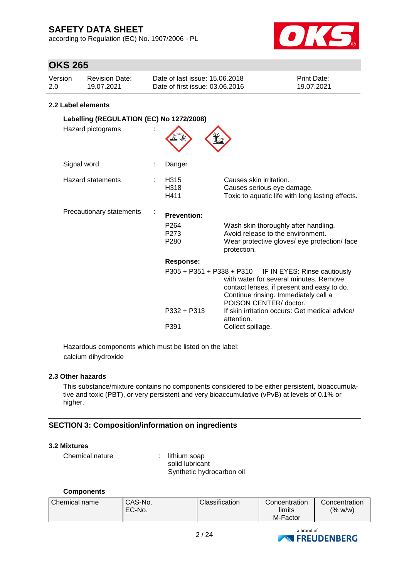according to Regulation (EC) No. 1907/2006 - PL



## **OKS 265**

| Version | Revision Date: | Date of last issue: 15.06.2018  | <b>Print Date:</b> |
|---------|----------------|---------------------------------|--------------------|
| 2.0     | 19.07.2021     | Date of first issue: 03.06.2016 | 19.07.2021         |

## **2.2 Label elements**

| Labelling (REGULATION (EC) No 1272/2008) |  |                                              |                                                                                                                                                                                                                  |  |  |  |
|------------------------------------------|--|----------------------------------------------|------------------------------------------------------------------------------------------------------------------------------------------------------------------------------------------------------------------|--|--|--|
| Hazard pictograms                        |  |                                              |                                                                                                                                                                                                                  |  |  |  |
| Signal word                              |  | Danger                                       |                                                                                                                                                                                                                  |  |  |  |
| Hazard statements                        |  | H315<br>H318<br>H411                         | Causes skin irritation.<br>Causes serious eye damage.<br>Toxic to aquatic life with long lasting effects.                                                                                                        |  |  |  |
| Precautionary statements                 |  | <b>Prevention:</b>                           |                                                                                                                                                                                                                  |  |  |  |
|                                          |  | P <sub>264</sub><br>P273<br>P <sub>280</sub> | Wash skin thoroughly after handling.<br>Avoid release to the environment.<br>Wear protective gloves/ eye protection/ face<br>protection.                                                                         |  |  |  |
|                                          |  | <b>Response:</b>                             |                                                                                                                                                                                                                  |  |  |  |
|                                          |  |                                              | P305 + P351 + P338 + P310 IF IN EYES: Rinse cautiously<br>with water for several minutes. Remove<br>contact lenses, if present and easy to do.<br>Continue rinsing. Immediately call a<br>POISON CENTER/ doctor. |  |  |  |
|                                          |  | $P332 + P313$                                | If skin irritation occurs: Get medical advice/<br>attention.                                                                                                                                                     |  |  |  |
|                                          |  | P391                                         | Collect spillage.                                                                                                                                                                                                |  |  |  |

Hazardous components which must be listed on the label: calcium dihydroxide

## **2.3 Other hazards**

This substance/mixture contains no components considered to be either persistent, bioaccumulative and toxic (PBT), or very persistent and very bioaccumulative (vPvB) at levels of 0.1% or higher.

## **SECTION 3: Composition/information on ingredients**

#### **3.2 Mixtures**

Chemical nature : lithium soap

solid lubricant Synthetic hydrocarbon oil

#### **Components**

| Chemical name | CAS-No.<br>LEC-No. | Classification | Concentration<br>limits | Concentration<br>$(96 \text{ W/W})$ |
|---------------|--------------------|----------------|-------------------------|-------------------------------------|
|               |                    |                | M-Factor                |                                     |

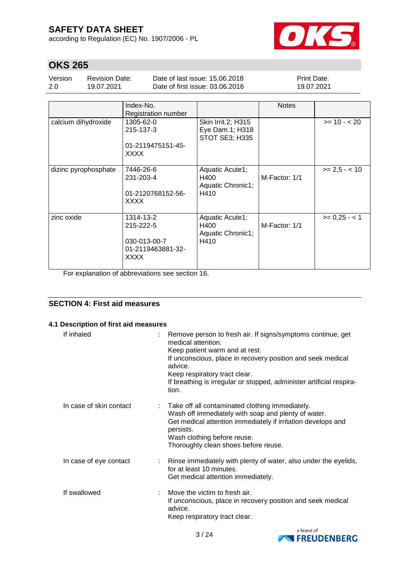according to Regulation (EC) No. 1907/2006 - PL



# **OKS 265**

| Version | Revision Date: | Date of last issue: 15.06.2018  | <b>Print Date:</b> |
|---------|----------------|---------------------------------|--------------------|
| 2.0     | 19.07.2021     | Date of first issue: 03.06.2016 | 19.07.2021         |

|                      | Index-No.                  |                       | <b>Notes</b>  |                 |
|----------------------|----------------------------|-----------------------|---------------|-----------------|
|                      | <b>Registration number</b> |                       |               |                 |
| calcium dihydroxide  | 1305-62-0                  | Skin Irrit.2; H315    |               | $>= 10 - 20$    |
|                      | 215-137-3                  | Eye Dam.1; H318       |               |                 |
|                      |                            | <b>STOT SE3; H335</b> |               |                 |
|                      | 01-2119475151-45-          |                       |               |                 |
|                      | <b>XXXX</b>                |                       |               |                 |
|                      |                            |                       |               |                 |
| dizinc pyrophosphate | 7446-26-6                  | Aquatic Acute1;       |               | $>= 2.5 - < 10$ |
|                      | 231-203-4                  | H400                  | M-Factor: 1/1 |                 |
|                      |                            | Aquatic Chronic1;     |               |                 |
|                      | 01-2120768152-56-          | H410                  |               |                 |
|                      | <b>XXXX</b>                |                       |               |                 |
|                      |                            |                       |               |                 |
| zinc oxide           | 1314-13-2                  | Aquatic Acute1;       |               | $>= 0.25 - 1$   |
|                      | 215-222-5                  | H400                  | M-Factor: 1/1 |                 |
|                      |                            | Aquatic Chronic1;     |               |                 |
|                      | 030-013-00-7               | H410                  |               |                 |
|                      | 01-2119463881-32-          |                       |               |                 |
|                      | <b>XXXX</b>                |                       |               |                 |
|                      |                            |                       |               |                 |

For explanation of abbreviations see section 16.

## **SECTION 4: First aid measures**

#### **4.1 Description of first aid measures**

| If inhaled              | Remove person to fresh air. If signs/symptoms continue, get<br>medical attention.<br>Keep patient warm and at rest.<br>If unconscious, place in recovery position and seek medical<br>advice.<br>Keep respiratory tract clear.<br>If breathing is irregular or stopped, administer artificial respira-<br>tion. |
|-------------------------|-----------------------------------------------------------------------------------------------------------------------------------------------------------------------------------------------------------------------------------------------------------------------------------------------------------------|
| In case of skin contact | Take off all contaminated clothing immediately.<br>Wash off immediately with soap and plenty of water.<br>Get medical attention immediately if irritation develops and<br>persists.<br>Wash clothing before reuse.<br>Thoroughly clean shoes before reuse.                                                      |
| In case of eye contact  | : Rinse immediately with plenty of water, also under the eyelids,<br>for at least 10 minutes.<br>Get medical attention immediately.                                                                                                                                                                             |
| If swallowed            | Move the victim to fresh air.<br>If unconscious, place in recovery position and seek medical<br>advice.<br>Keep respiratory tract clear.                                                                                                                                                                        |

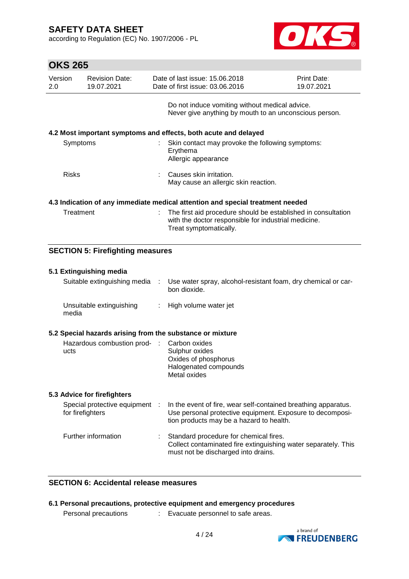according to Regulation (EC) No. 1907/2006 - PL



| <b>OKS 265</b> |                                                                                |                                                                   |                                                                                                                                                 |                           |  |  |  |
|----------------|--------------------------------------------------------------------------------|-------------------------------------------------------------------|-------------------------------------------------------------------------------------------------------------------------------------------------|---------------------------|--|--|--|
| Version<br>2.0 | <b>Revision Date:</b><br>19.07.2021                                            | Date of last issue: 15.06.2018<br>Date of first issue: 03.06.2016 |                                                                                                                                                 | Print Date:<br>19.07.2021 |  |  |  |
|                |                                                                                |                                                                   | Do not induce vomiting without medical advice.<br>Never give anything by mouth to an unconscious person.                                        |                           |  |  |  |
|                | 4.2 Most important symptoms and effects, both acute and delayed                |                                                                   |                                                                                                                                                 |                           |  |  |  |
| Symptoms       |                                                                                | Erythema                                                          | Skin contact may provoke the following symptoms:<br>Allergic appearance                                                                         |                           |  |  |  |
| <b>Risks</b>   |                                                                                |                                                                   | Causes skin irritation.<br>May cause an allergic skin reaction.                                                                                 |                           |  |  |  |
|                | 4.3 Indication of any immediate medical attention and special treatment needed |                                                                   |                                                                                                                                                 |                           |  |  |  |
| Treatment      |                                                                                | ÷.                                                                | The first aid procedure should be established in consultation<br>with the doctor responsible for industrial medicine.<br>Treat symptomatically. |                           |  |  |  |

## **SECTION 5: Firefighting measures**

|      | 5.1 Extinguishing media                                   |   |                                                                                                                                                                         |
|------|-----------------------------------------------------------|---|-------------------------------------------------------------------------------------------------------------------------------------------------------------------------|
|      | Suitable extinguishing media                              | ÷ | Use water spray, alcohol-resistant foam, dry chemical or car-<br>bon dioxide.                                                                                           |
|      | Unsuitable extinguishing<br>media                         |   | : High volume water jet                                                                                                                                                 |
|      | 5.2 Special hazards arising from the substance or mixture |   |                                                                                                                                                                         |
| ucts | Hazardous combustion prod- :                              |   | Carbon oxides<br>Sulphur oxides<br>Oxides of phosphorus<br>Halogenated compounds<br>Metal oxides                                                                        |
|      | 5.3 Advice for firefighters                               |   |                                                                                                                                                                         |
|      | Special protective equipment :<br>for firefighters        |   | In the event of fire, wear self-contained breathing apparatus.<br>Use personal protective equipment. Exposure to decomposi-<br>tion products may be a hazard to health. |
|      | Further information                                       |   | Standard procedure for chemical fires.<br>Collect contaminated fire extinguishing water separately. This<br>must not be discharged into drains.                         |

## **SECTION 6: Accidental release measures**

|  |  |  |  | 6.1 Personal precautions, protective equipment and emergency procedures |  |  |
|--|--|--|--|-------------------------------------------------------------------------|--|--|
|--|--|--|--|-------------------------------------------------------------------------|--|--|

Personal precautions : Evacuate personnel to safe areas.

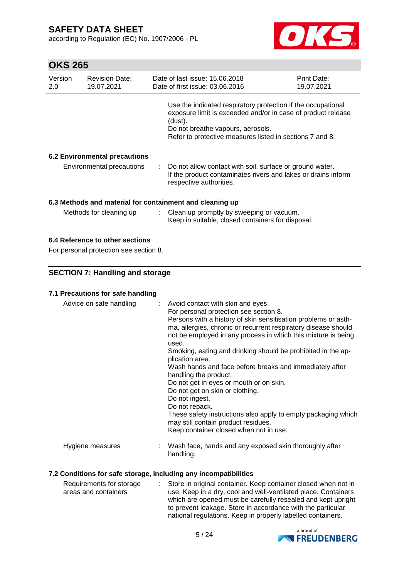according to Regulation (EC) No. 1907/2006 - PL



# **OKS 265**

| Version<br>2.0 | <b>Revision Date:</b><br>19.07.2021                      |  | Date of last issue: 15.06.2018<br>Date of first issue: 03.06.2016                                                                                                                                                                        | Print Date:<br>19.07.2021 |  |  |
|----------------|----------------------------------------------------------|--|------------------------------------------------------------------------------------------------------------------------------------------------------------------------------------------------------------------------------------------|---------------------------|--|--|
|                |                                                          |  | Use the indicated respiratory protection if the occupational<br>exposure limit is exceeded and/or in case of product release<br>(dust).<br>Do not breathe vapours, aerosols.<br>Refer to protective measures listed in sections 7 and 8. |                           |  |  |
|                | <b>6.2 Environmental precautions</b>                     |  |                                                                                                                                                                                                                                          |                           |  |  |
|                | Environmental precautions                                |  | : Do not allow contact with soil, surface or ground water.<br>If the product contaminates rivers and lakes or drains inform<br>respective authorities.                                                                                   |                           |  |  |
|                | 6.3 Methods and material for containment and cleaning up |  |                                                                                                                                                                                                                                          |                           |  |  |
|                | Methods for cleaning up                                  |  | : Clean up promptly by sweeping or vacuum.<br>Keep in suitable, closed containers for disposal.                                                                                                                                          |                           |  |  |

## **6.4 Reference to other sections**

For personal protection see section 8.

### **SECTION 7: Handling and storage**

### **7.1 Precautions for safe handling**

| Advice on safe handling | : Avoid contact with skin and eyes.<br>For personal protection see section 8.<br>Persons with a history of skin sensitisation problems or asth-<br>ma, allergies, chronic or recurrent respiratory disease should<br>not be employed in any process in which this mixture is being<br>used.<br>Smoking, eating and drinking should be prohibited in the ap-<br>plication area.<br>Wash hands and face before breaks and immediately after<br>handling the product.<br>Do not get in eyes or mouth or on skin.<br>Do not get on skin or clothing.<br>Do not ingest.<br>Do not repack.<br>These safety instructions also apply to empty packaging which<br>may still contain product residues.<br>Keep container closed when not in use. |
|-------------------------|----------------------------------------------------------------------------------------------------------------------------------------------------------------------------------------------------------------------------------------------------------------------------------------------------------------------------------------------------------------------------------------------------------------------------------------------------------------------------------------------------------------------------------------------------------------------------------------------------------------------------------------------------------------------------------------------------------------------------------------|
| Hygiene measures        | Wash face, hands and any exposed skin thoroughly after<br>handling.                                                                                                                                                                                                                                                                                                                                                                                                                                                                                                                                                                                                                                                                    |

## **7.2 Conditions for safe storage, including any incompatibilities**

| Requirements for storage | : Store in original container. Keep container closed when not in |
|--------------------------|------------------------------------------------------------------|
| areas and containers     | use. Keep in a dry, cool and well-ventilated place. Containers   |
|                          | which are opened must be carefully resealed and kept upright     |
|                          | to prevent leakage. Store in accordance with the particular      |
|                          | national regulations. Keep in properly labelled containers.      |

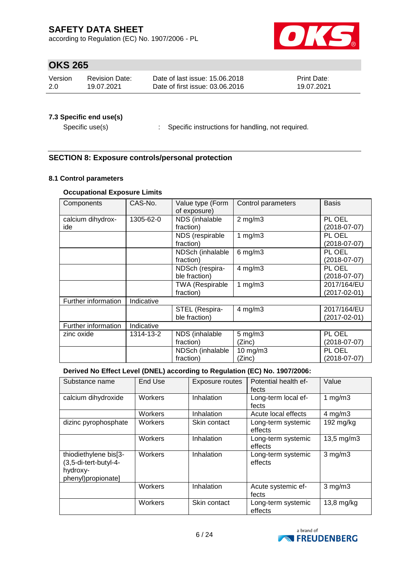according to Regulation (EC) No. 1907/2006 - PL



# **OKS 265**

| Version | Revision Date: | Date of last issue: 15.06.2018  | <b>Print Date:</b> |
|---------|----------------|---------------------------------|--------------------|
| -2.0    | 19.07.2021     | Date of first issue: 03.06.2016 | 19.07.2021         |

## **7.3 Specific end use(s)**

Specific use(s) : Specific instructions for handling, not required.

## **SECTION 8: Exposure controls/personal protection**

## **8.1 Control parameters**

## **Occupational Exposure Limits**

| Components          | CAS-No.    | Value type (Form<br>of exposure) | Control parameters | <b>Basis</b>   |
|---------------------|------------|----------------------------------|--------------------|----------------|
| calcium dihydrox-   | 1305-62-0  | NDS (inhalable                   | $2$ mg/m $3$       | PL OEL         |
| ide                 |            | fraction)                        |                    | $(2018-07-07)$ |
|                     |            | NDS (respirable                  | 1 $mg/m3$          | PL OEL         |
|                     |            | fraction)                        |                    | $(2018-07-07)$ |
|                     |            | NDSch (inhalable                 | $6$ mg/m $3$       | PL OEL         |
|                     |            | fraction)                        |                    | $(2018-07-07)$ |
|                     |            | NDSch (respira-                  | $4$ mg/m $3$       | PL OEL         |
|                     |            | ble fraction)                    |                    | $(2018-07-07)$ |
|                     |            | <b>TWA (Respirable</b>           | 1 $mg/m3$          | 2017/164/EU    |
|                     |            | fraction)                        |                    | (2017-02-01)   |
| Further information | Indicative |                                  |                    |                |
|                     |            | STEL (Respira-                   | $4$ mg/m $3$       | 2017/164/EU    |
|                     |            | ble fraction)                    |                    | (2017-02-01)   |
| Further information | Indicative |                                  |                    |                |
| zinc oxide          | 1314-13-2  | NDS (inhalable                   | $5$ mg/m $3$       | PL OEL         |
|                     |            | fraction)                        | (Zinc)             | (2018-07-07)   |
|                     |            | NDSch (inhalable                 | 10 mg/m3           | PL OEL         |
|                     |            | fraction)                        | (Zinc)             | (2018-07-07)   |

#### **Derived No Effect Level (DNEL) according to Regulation (EC) No. 1907/2006:**

| Substance name                                                                   | End Use | Exposure routes | Potential health ef-<br>fects | Value                   |
|----------------------------------------------------------------------------------|---------|-----------------|-------------------------------|-------------------------|
| calcium dihydroxide                                                              | Workers | Inhalation      | Long-term local ef-<br>fects  | 1 $mg/m3$               |
|                                                                                  | Workers | Inhalation      | Acute local effects           | $4$ mg/m $3$            |
| dizinc pyrophosphate                                                             | Workers | Skin contact    | Long-term systemic<br>effects | 192 mg/kg               |
|                                                                                  | Workers | Inhalation      | Long-term systemic<br>effects | $13,5 \,\mathrm{mg/m3}$ |
| thiodiethylene bis[3-<br>(3,5-di-tert-butyl-4-<br>hydroxy-<br>phenyl)propionate] | Workers | Inhalation      | Long-term systemic<br>effects | $3$ mg/m $3$            |
|                                                                                  | Workers | Inhalation      | Acute systemic ef-<br>fects   | $3$ mg/m $3$            |
|                                                                                  | Workers | Skin contact    | Long-term systemic<br>effects | $13,8$ mg/kg            |

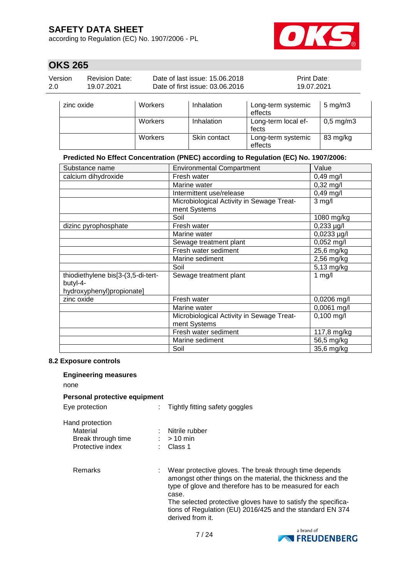according to Regulation (EC) No. 1907/2006 - PL



83 mg/kg

# **OKS 265**

| Version<br><b>Revision Date:</b><br>2.0<br>19.07.2021 |            |                | Date of last issue: 15.06.2018<br>Print Date:<br>Date of first issue: 03.06.2016<br>19.07.2021 |                               |                      |
|-------------------------------------------------------|------------|----------------|------------------------------------------------------------------------------------------------|-------------------------------|----------------------|
|                                                       | zinc oxide | <b>Workers</b> | Inhalation                                                                                     | Long-term systemic<br>effects | $5 \text{ mg/m}$ 3   |
|                                                       |            | <b>Workers</b> | Inhalation                                                                                     | Long-term local ef-<br>fects  | $0,5 \text{ mg/m}$ 3 |

### **Predicted No Effect Concentration (PNEC) according to Regulation (EC) No. 1907/2006:**

Workers | Skin contact | Long-term systemic

effects

| Substance name                     | <b>Environmental Compartment</b>          | Value               |
|------------------------------------|-------------------------------------------|---------------------|
| calcium dihydroxide                | Fresh water                               | $0,49$ mg/l         |
|                                    | Marine water                              | $0,32 \text{ mg/l}$ |
|                                    | Intermittent use/release                  | $0,49$ mg/l         |
|                                    | Microbiological Activity in Sewage Treat- | $3$ mg/l            |
|                                    | ment Systems                              |                     |
|                                    | Soil                                      | 1080 mg/kg          |
| dizinc pyrophosphate               | Fresh water                               | $0,233 \mu g/l$     |
|                                    | Marine water                              | 0,0233 µg/l         |
|                                    | Sewage treatment plant                    | $0,052$ mg/l        |
|                                    | Fresh water sediment                      | 25,6 mg/kg          |
|                                    | Marine sediment                           | 2,56 mg/kg          |
|                                    | Soil                                      | 5,13 mg/kg          |
| thiodiethylene bis[3-(3,5-di-tert- | Sewage treatment plant                    | $1$ mg/l            |
| butyl-4-                           |                                           |                     |
| hydroxyphenyl)propionate]          |                                           |                     |
| zinc oxide                         | Fresh water                               | 0,0206 mg/l         |
|                                    | Marine water                              | 0,0061 mg/l         |
|                                    | Microbiological Activity in Sewage Treat- | $0,100$ mg/l        |
|                                    | ment Systems                              |                     |
|                                    | Fresh water sediment                      | 117,8 mg/kg         |
|                                    | Marine sediment                           | 56,5 mg/kg          |
|                                    | Soil                                      | 35,6 mg/kg          |

#### **8.2 Exposure controls**

#### **Engineering measures**

none

#### **Personal protective equipment**

| Eye protection  |
|-----------------|
| Hand protection |

: Tightly fitting safety goggles

| Material           | : Nitrile rubber |
|--------------------|------------------|
| Break through time | $:$ > 10 min     |
| Protective index   | : Class 1        |

Remarks : Wear protective gloves. The break through time depends amongst other things on the material, the thickness and the type of glove and therefore has to be measured for each case. The selected protective gloves have to satisfy the specifications of Regulation (EU) 2016/425 and the standard EN 374 derived from it.

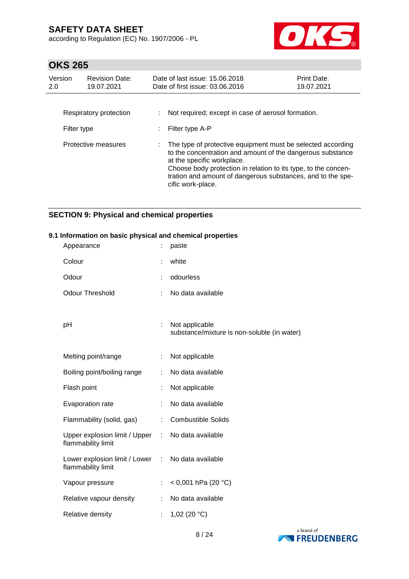according to Regulation (EC) No. 1907/2006 - PL



# **OKS 265**

| Version<br>2.0 | <b>Revision Date:</b><br>19.07.2021 | Date of last issue: 15.06.2018<br>Date of first issue: 03.06.2016                                                                                                                                                                                                                                             | Print Date:<br>19.07.2021 |
|----------------|-------------------------------------|---------------------------------------------------------------------------------------------------------------------------------------------------------------------------------------------------------------------------------------------------------------------------------------------------------------|---------------------------|
| Filter type    | Respiratory protection              | Not required; except in case of aerosol formation.<br>Filter type A-P                                                                                                                                                                                                                                         |                           |
|                | Protective measures                 | The type of protective equipment must be selected according<br>to the concentration and amount of the dangerous substance<br>at the specific workplace.<br>Choose body protection in relation to its type, to the concen-<br>tration and amount of dangerous substances, and to the spe-<br>cific work-place. |                           |

## **SECTION 9: Physical and chemical properties**

#### **9.1 Information on basic physical and chemical properties**

| Appearance                                            |   | paste                                                         |
|-------------------------------------------------------|---|---------------------------------------------------------------|
| Colour                                                |   | white                                                         |
| Odour                                                 |   | odourless                                                     |
| <b>Odour Threshold</b>                                |   | No data available                                             |
|                                                       |   |                                                               |
| рH                                                    | ÷ | Not applicable<br>substance/mixture is non-soluble (in water) |
|                                                       |   |                                                               |
| Melting point/range                                   |   | Not applicable                                                |
| Boiling point/boiling range                           |   | No data available                                             |
| Flash point                                           |   | Not applicable                                                |
| Evaporation rate                                      |   | No data available                                             |
| Flammability (solid, gas)                             |   | <b>Combustible Solids</b>                                     |
| Upper explosion limit / Upper :<br>flammability limit |   | No data available                                             |
| Lower explosion limit / Lower :<br>flammability limit |   | No data available                                             |
| Vapour pressure                                       | ÷ | < 0,001 hPa (20 $^{\circ}$ C)                                 |
| Relative vapour density                               |   | No data available                                             |
| Relative density                                      |   | 1,02 (20 $°C$ )                                               |

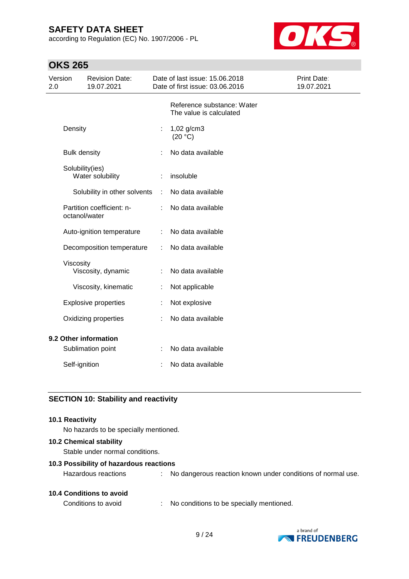according to Regulation (EC) No. 1907/2006 - PL



# **OKS 265**

| Version<br>2.0                      | <b>Revision Date:</b><br>19.07.2021        |    | Date of last issue: 15.06.2018<br>Date of first issue: 03.06.2016 | Print Date:<br>19.07.2021 |
|-------------------------------------|--------------------------------------------|----|-------------------------------------------------------------------|---------------------------|
|                                     |                                            |    | Reference substance: Water<br>The value is calculated             |                           |
| Density                             |                                            | t, | 1,02 g/cm3<br>(20 °C)                                             |                           |
|                                     | <b>Bulk density</b>                        |    | No data available                                                 |                           |
| Solubility(ies)<br>Water solubility |                                            |    | insoluble                                                         |                           |
|                                     | Solubility in other solvents               | ÷  | No data available                                                 |                           |
|                                     | Partition coefficient: n-<br>octanol/water |    | No data available                                                 |                           |
|                                     | Auto-ignition temperature                  |    | No data available                                                 |                           |
|                                     | Decomposition temperature                  | t  | No data available                                                 |                           |
|                                     | Viscosity<br>Viscosity, dynamic            |    | No data available                                                 |                           |
|                                     | Viscosity, kinematic                       |    | Not applicable                                                    |                           |
|                                     | <b>Explosive properties</b>                |    | Not explosive                                                     |                           |
|                                     | Oxidizing properties                       |    | No data available                                                 |                           |
|                                     | 9.2 Other information                      |    |                                                                   |                           |
|                                     | Sublimation point                          | ÷  | No data available                                                 |                           |
|                                     | Self-ignition                              |    | No data available                                                 |                           |

## **SECTION 10: Stability and reactivity**

#### **10.1 Reactivity**

No hazards to be specially mentioned.

#### **10.2 Chemical stability**

Stable under normal conditions.

#### **10.3 Possibility of hazardous reactions**

| <b>10.4 Conditions to avoid</b> |  |
|---------------------------------|--|
|                                 |  |

Hazardous reactions : No dangerous reaction known under conditions of normal use.

Conditions to avoid : No conditions to be specially mentioned.

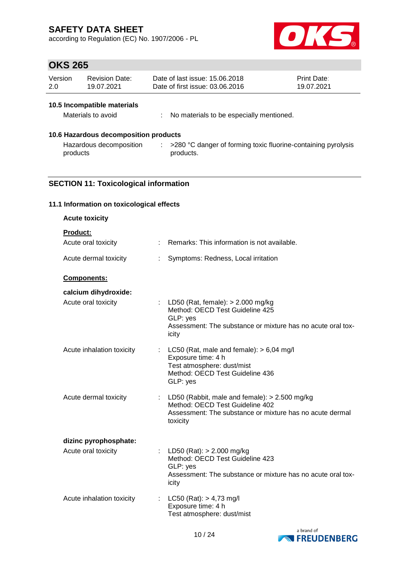according to Regulation (EC) No. 1907/2006 - PL



# **OKS 265**

| Version | <b>Revision Date:</b> | Date of last issue: 15.06.2018  | <b>Print Date:</b> |
|---------|-----------------------|---------------------------------|--------------------|
| 2.0     | 19.07.2021            | Date of first issue: 03.06.2016 | 19.07.2021         |

## **10.5 Incompatible materials**

| Materials to avoid |  | No materials to be especially mentioned. |
|--------------------|--|------------------------------------------|
|--------------------|--|------------------------------------------|

## **10.6 Hazardous decomposition products**

| Hazardous decomposition | >280 °C danger of forming toxic fluorine-containing pyrolysis |
|-------------------------|---------------------------------------------------------------|
| products                | products.                                                     |

## **SECTION 11: Toxicological information**

### **11.1 Information on toxicological effects**

| <b>Acute toxicity</b>     |                       |                                                                                                                                                              |
|---------------------------|-----------------------|--------------------------------------------------------------------------------------------------------------------------------------------------------------|
| Product:                  |                       |                                                                                                                                                              |
| Acute oral toxicity       |                       | : Remarks: This information is not available.                                                                                                                |
| Acute dermal toxicity     |                       | Symptoms: Redness, Local irritation                                                                                                                          |
| <b>Components:</b>        |                       |                                                                                                                                                              |
| calcium dihydroxide:      |                       |                                                                                                                                                              |
| Acute oral toxicity       |                       | : LD50 (Rat, female): $> 2.000$ mg/kg<br>Method: OECD Test Guideline 425<br>GLP: yes<br>Assessment: The substance or mixture has no acute oral tox-<br>icity |
| Acute inhalation toxicity | ÷                     | LC50 (Rat, male and female): $> 6,04$ mg/l<br>Exposure time: 4 h<br>Test atmosphere: dust/mist<br>Method: OECD Test Guideline 436<br>GLP: yes                |
| Acute dermal toxicity     |                       | : LD50 (Rabbit, male and female): $> 2.500$ mg/kg<br>Method: OECD Test Guideline 402<br>Assessment: The substance or mixture has no acute dermal<br>toxicity |
| dizinc pyrophosphate:     |                       |                                                                                                                                                              |
| Acute oral toxicity       |                       | LD50 (Rat): > 2.000 mg/kg<br>Method: OECD Test Guideline 423<br>GLP: yes<br>Assessment: The substance or mixture has no acute oral tox-<br>icity             |
| Acute inhalation toxicity | $\mathbb{Z}^{\times}$ | LC50 (Rat): $> 4,73$ mg/l<br>Exposure time: 4 h<br>Test atmosphere: dust/mist                                                                                |

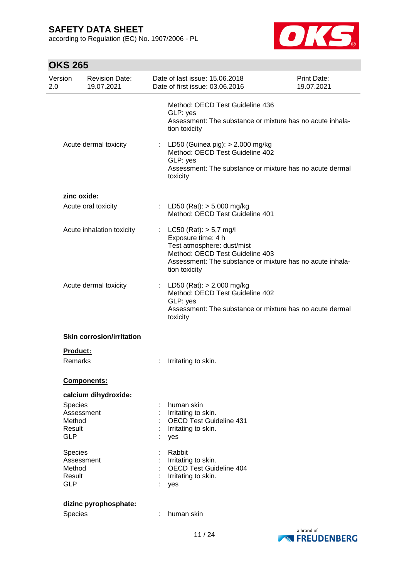according to Regulation (EC) No. 1907/2006 - PL



| Version<br>2.0   | <b>Revision Date:</b><br>19.07.2021 | Date of last issue: 15.06.2018<br>Date of first issue: 03.06.2016                                                                                                                               | Print Date:<br>19.07.2021 |
|------------------|-------------------------------------|-------------------------------------------------------------------------------------------------------------------------------------------------------------------------------------------------|---------------------------|
|                  |                                     | Method: OECD Test Guideline 436<br>GLP: yes<br>Assessment: The substance or mixture has no acute inhala-<br>tion toxicity                                                                       |                           |
|                  | Acute dermal toxicity               | : LD50 (Guinea pig): $> 2.000$ mg/kg<br>Method: OECD Test Guideline 402<br>GLP: yes<br>Assessment: The substance or mixture has no acute dermal<br>toxicity                                     |                           |
|                  | zinc oxide:                         |                                                                                                                                                                                                 |                           |
|                  | Acute oral toxicity                 | : LD50 (Rat): $>$ 5.000 mg/kg<br>Method: OECD Test Guideline 401                                                                                                                                |                           |
|                  | Acute inhalation toxicity           | $LC50$ (Rat): $> 5.7$ mg/l<br>Exposure time: 4 h<br>Test atmosphere: dust/mist<br>Method: OECD Test Guideline 403<br>Assessment: The substance or mixture has no acute inhala-<br>tion toxicity |                           |
|                  | Acute dermal toxicity               | : LD50 (Rat): $> 2.000$ mg/kg<br>Method: OECD Test Guideline 402<br>GLP: yes<br>Assessment: The substance or mixture has no acute dermal<br>toxicity                                            |                           |
|                  | <b>Skin corrosion/irritation</b>    |                                                                                                                                                                                                 |                           |
|                  | <b>Product:</b>                     |                                                                                                                                                                                                 |                           |
|                  | Remarks                             | Irritating to skin.                                                                                                                                                                             |                           |
|                  | Components:                         |                                                                                                                                                                                                 |                           |
|                  | calcium dihydroxide:                |                                                                                                                                                                                                 |                           |
| Species          |                                     | human skin                                                                                                                                                                                      |                           |
| Method           | Assessment                          | Irritating to skin.<br><b>OECD Test Guideline 431</b>                                                                                                                                           |                           |
| Result           |                                     | Irritating to skin.                                                                                                                                                                             |                           |
| <b>GLP</b>       |                                     | yes                                                                                                                                                                                             |                           |
| Species          |                                     | Rabbit                                                                                                                                                                                          |                           |
|                  | Assessment                          | Irritating to skin.                                                                                                                                                                             |                           |
| Method<br>Result |                                     | <b>OECD Test Guideline 404</b><br>Irritating to skin.                                                                                                                                           |                           |
| <b>GLP</b>       |                                     | yes                                                                                                                                                                                             |                           |
|                  | dizinc pyrophosphate:               |                                                                                                                                                                                                 |                           |
| Species          |                                     | human skin                                                                                                                                                                                      |                           |
|                  |                                     |                                                                                                                                                                                                 |                           |

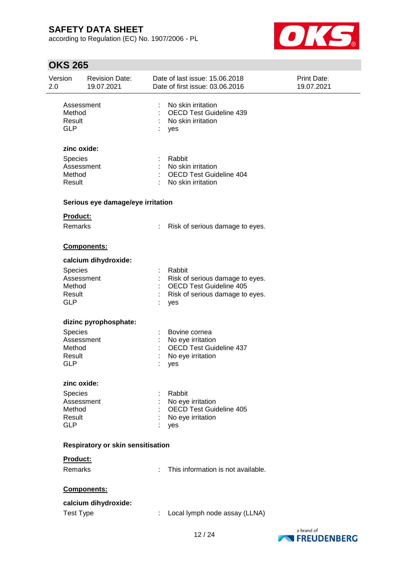according to Regulation (EC) No. 1907/2006 - PL



| Version<br>2.0 |                                                                | <b>Revision Date:</b><br>19.07.2021 |                                | Date of last issue: 15.06.2018<br>Date of first issue: 03.06.2016                                                     | Print Date:<br>19.07.2021 |
|----------------|----------------------------------------------------------------|-------------------------------------|--------------------------------|-----------------------------------------------------------------------------------------------------------------------|---------------------------|
|                | Assessment<br>Method<br>Result<br><b>GLP</b>                   |                                     | ÷                              | No skin irritation<br><b>OECD Test Guideline 439</b><br>No skin irritation<br>yes                                     |                           |
|                | zinc oxide:<br>Species<br>Assessment<br>Method<br>Result       |                                     | $\mathbb{Z}^{\mathbb{Z}}$<br>÷ | Rabbit<br>No skin irritation<br><b>OECD Test Guideline 404</b><br>No skin irritation                                  |                           |
|                |                                                                | Serious eye damage/eye irritation   |                                |                                                                                                                       |                           |
|                | <b>Product:</b><br>Remarks                                     |                                     |                                | Risk of serious damage to eyes.                                                                                       |                           |
|                |                                                                | Components:                         |                                |                                                                                                                       |                           |
|                | <b>Species</b><br>Assessment<br>Method<br>Result<br><b>GLP</b> | calcium dihydroxide:                |                                | Rabbit<br>Risk of serious damage to eyes.<br><b>OECD Test Guideline 405</b><br>Risk of serious damage to eyes.<br>yes |                           |
|                |                                                                | dizinc pyrophosphate:               |                                |                                                                                                                       |                           |
|                | Species<br>Assessment<br>Method<br>Result<br><b>GLP</b>        |                                     |                                | Bovine cornea<br>No eye irritation<br><b>OECD Test Guideline 437</b><br>No eye irritation<br>yes                      |                           |
|                | zinc oxide:                                                    |                                     |                                |                                                                                                                       |                           |
|                | <b>Species</b><br>Assessment<br>Method<br>Result<br><b>GLP</b> |                                     |                                | Rabbit<br>No eye irritation<br><b>OECD Test Guideline 405</b><br>No eye irritation<br>yes                             |                           |
|                |                                                                | Respiratory or skin sensitisation   |                                |                                                                                                                       |                           |
|                | Product:                                                       |                                     |                                |                                                                                                                       |                           |
|                | Remarks                                                        |                                     |                                | This information is not available.                                                                                    |                           |
|                |                                                                | Components:                         |                                |                                                                                                                       |                           |
|                |                                                                | calcium dihydroxide:                |                                |                                                                                                                       |                           |
|                | <b>Test Type</b>                                               |                                     | ÷.                             | Local lymph node assay (LLNA)                                                                                         |                           |

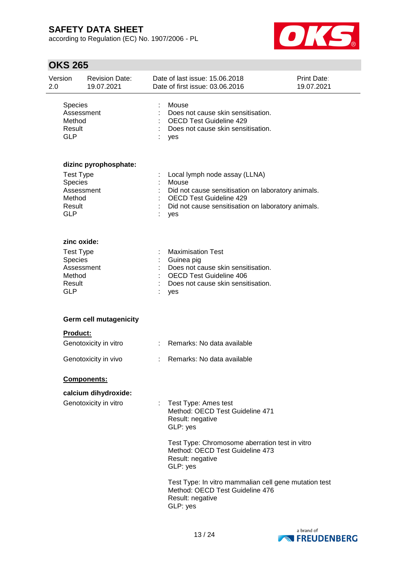according to Regulation (EC) No. 1907/2006 - PL



| Version<br>2.0                            | <b>Revision Date:</b><br>19.07.2021                     |    | Date of last issue: 15.06.2018<br>Date of first issue: 03.06.2016                                                                                                                    | <b>Print Date:</b><br>19.07.2021 |
|-------------------------------------------|---------------------------------------------------------|----|--------------------------------------------------------------------------------------------------------------------------------------------------------------------------------------|----------------------------------|
| Species<br>Method<br>Result<br><b>GLP</b> | Assessment                                              |    | Mouse<br>Does not cause skin sensitisation.<br><b>OECD Test Guideline 429</b><br>Does not cause skin sensitisation.<br>yes                                                           |                                  |
| Species<br>Method<br>Result               | dizinc pyrophosphate:<br><b>Test Type</b><br>Assessment |    | Local lymph node assay (LLNA)<br>Mouse<br>Did not cause sensitisation on laboratory animals.<br><b>OECD Test Guideline 429</b><br>Did not cause sensitisation on laboratory animals. |                                  |
| <b>GLP</b>                                | zinc oxide:<br><b>Test Type</b>                         |    | yes<br><b>Maximisation Test</b>                                                                                                                                                      |                                  |
| Species<br>Method<br>Result<br><b>GLP</b> | Assessment                                              |    | Guinea pig<br>Does not cause skin sensitisation.<br><b>OECD Test Guideline 406</b><br>Does not cause skin sensitisation.<br>yes                                                      |                                  |
|                                           | <b>Germ cell mutagenicity</b>                           |    |                                                                                                                                                                                      |                                  |
| <b>Product:</b>                           | Genotoxicity in vitro                                   |    | Remarks: No data available                                                                                                                                                           |                                  |
|                                           | Genotoxicity in vivo                                    | t. | Remarks: No data available                                                                                                                                                           |                                  |
|                                           | <b>Components:</b>                                      |    |                                                                                                                                                                                      |                                  |
|                                           | calcium dihydroxide:<br>Genotoxicity in vitro           |    | Test Type: Ames test<br>Method: OECD Test Guideline 471<br>Result: negative<br>GLP: yes<br>Test Type: Chromosome aberration test in vitro                                            |                                  |
|                                           |                                                         |    | Method: OECD Test Guideline 473<br>Result: negative<br>GLP: yes                                                                                                                      |                                  |
|                                           |                                                         |    | Test Type: In vitro mammalian cell gene mutation test<br>Method: OECD Test Guideline 476<br>Result: negative<br>GLP: yes                                                             |                                  |

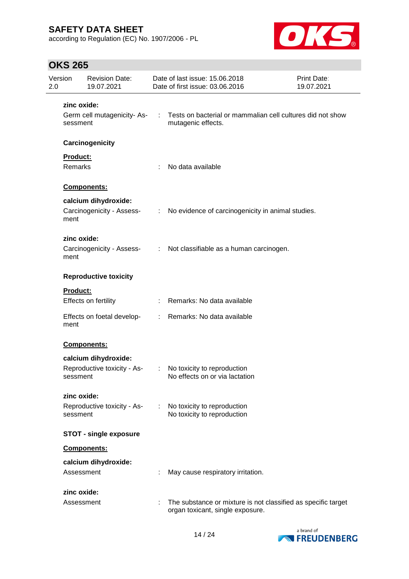according to Regulation (EC) No. 1907/2006 - PL



| 2.0 | Version             | <b>Revision Date:</b><br>19.07.2021 |                               | Date of last issue: 15.06.2018<br>Date of first issue: 03.06.2016                                 | Print Date:<br>19.07.2021 |
|-----|---------------------|-------------------------------------|-------------------------------|---------------------------------------------------------------------------------------------------|---------------------------|
|     | zinc oxide:         |                                     |                               |                                                                                                   |                           |
|     | sessment            | Germ cell mutagenicity-As-          | $\mathcal{L}^{\mathcal{L}}$   | Tests on bacterial or mammalian cell cultures did not show<br>mutagenic effects.                  |                           |
|     |                     | Carcinogenicity                     |                               |                                                                                                   |                           |
|     | Product:<br>Remarks |                                     | ÷                             | No data available                                                                                 |                           |
|     |                     | Components:                         |                               |                                                                                                   |                           |
|     |                     | calcium dihydroxide:                |                               |                                                                                                   |                           |
|     | ment                | Carcinogenicity - Assess-           | $\mathcal{I}^{\mathcal{I}}$ . | No evidence of carcinogenicity in animal studies.                                                 |                           |
|     | zinc oxide:         |                                     |                               |                                                                                                   |                           |
|     | ment                | Carcinogenicity - Assess-           |                               | : Not classifiable as a human carcinogen.                                                         |                           |
|     |                     | <b>Reproductive toxicity</b>        |                               |                                                                                                   |                           |
|     | <b>Product:</b>     |                                     |                               |                                                                                                   |                           |
|     |                     | Effects on fertility                |                               | : Remarks: No data available                                                                      |                           |
|     | ment                | Effects on foetal develop-          | $\mathcal{L}^{\mathcal{L}}$   | Remarks: No data available                                                                        |                           |
|     |                     | Components:                         |                               |                                                                                                   |                           |
|     |                     | calcium dihydroxide:                |                               |                                                                                                   |                           |
|     | sessment            | Reproductive toxicity - As-         |                               | No toxicity to reproduction<br>No effects on or via lactation                                     |                           |
|     | zinc oxide:         |                                     |                               |                                                                                                   |                           |
|     | sessment            | Reproductive toxicity - As-         | ÷.                            | No toxicity to reproduction<br>No toxicity to reproduction                                        |                           |
|     |                     | <b>STOT - single exposure</b>       |                               |                                                                                                   |                           |
|     |                     | Components:                         |                               |                                                                                                   |                           |
|     |                     | calcium dihydroxide:                |                               |                                                                                                   |                           |
|     | Assessment          |                                     |                               | May cause respiratory irritation.                                                                 |                           |
|     | zinc oxide:         |                                     |                               |                                                                                                   |                           |
|     | Assessment          |                                     | ÷                             | The substance or mixture is not classified as specific target<br>organ toxicant, single exposure. |                           |

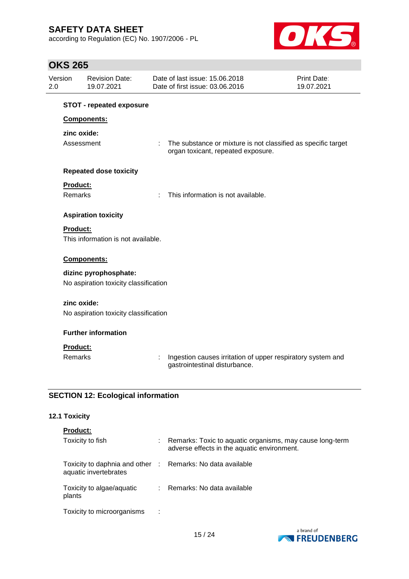according to Regulation (EC) No. 1907/2006 - PL



## **OKS 265**

| Version         | <b>Revision Date:</b><br>19.07.2021       | Date of last issue: 15,06,2018<br>Date of first issue: 03.06.2016                            | Print Date:<br>19.07.2021                                     |
|-----------------|-------------------------------------------|----------------------------------------------------------------------------------------------|---------------------------------------------------------------|
|                 | <b>STOT - repeated exposure</b>           |                                                                                              |                                                               |
|                 | Components:                               |                                                                                              |                                                               |
|                 | zinc oxide:                               |                                                                                              |                                                               |
|                 | Assessment                                | ÷<br>organ toxicant, repeated exposure.                                                      | The substance or mixture is not classified as specific target |
|                 | <b>Repeated dose toxicity</b>             |                                                                                              |                                                               |
| Product:        |                                           |                                                                                              |                                                               |
| <b>Remarks</b>  |                                           | This information is not available.<br>÷                                                      |                                                               |
|                 | <b>Aspiration toxicity</b>                |                                                                                              |                                                               |
| Product:        |                                           |                                                                                              |                                                               |
|                 | This information is not available.        |                                                                                              |                                                               |
|                 | Components:                               |                                                                                              |                                                               |
|                 | dizinc pyrophosphate:                     |                                                                                              |                                                               |
|                 | No aspiration toxicity classification     |                                                                                              |                                                               |
|                 | zinc oxide:                               |                                                                                              |                                                               |
|                 | No aspiration toxicity classification     |                                                                                              |                                                               |
|                 | <b>Further information</b>                |                                                                                              |                                                               |
| <b>Product:</b> |                                           |                                                                                              |                                                               |
| <b>Remarks</b>  |                                           | Ingestion causes irritation of upper respiratory system and<br>gastrointestinal disturbance. |                                                               |
|                 | <b>SECTION 12: Ecological information</b> |                                                                                              |                                                               |

## **12.1 Toxicity**

| <b>Product:</b>                                                                     |                                                                                                         |
|-------------------------------------------------------------------------------------|---------------------------------------------------------------------------------------------------------|
| Toxicity to fish                                                                    | Remarks: Toxic to aquatic organisms, may cause long-term<br>adverse effects in the aquatic environment. |
| Toxicity to daphnia and other : Remarks: No data available<br>aquatic invertebrates |                                                                                                         |
| Toxicity to algae/aquatic<br>plants                                                 | : Remarks: No data available                                                                            |
| Toxicity to microorganisms<br>- 11                                                  |                                                                                                         |

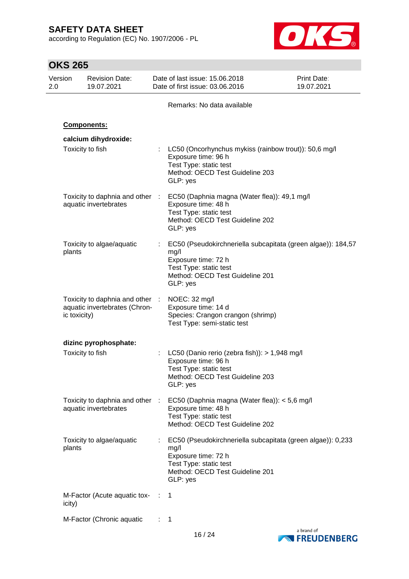according to Regulation (EC) No. 1907/2006 - PL



|                | <b>OKS 265</b> |                                                                  |                                                                     |                                                                                  |                                                              |
|----------------|----------------|------------------------------------------------------------------|---------------------------------------------------------------------|----------------------------------------------------------------------------------|--------------------------------------------------------------|
| Version<br>2.0 |                | <b>Revision Date:</b><br>19.07.2021                              | Date of last issue: 15.06.2018<br>Date of first issue: 03.06.2016   |                                                                                  | <b>Print Date:</b><br>19.07.2021                             |
|                |                |                                                                  |                                                                     | Remarks: No data available                                                       |                                                              |
|                |                | Components:                                                      |                                                                     |                                                                                  |                                                              |
|                |                | calcium dihydroxide:                                             |                                                                     |                                                                                  |                                                              |
|                |                | Toxicity to fish                                                 | Exposure time: 96 h<br>Test Type: static test<br>GLP: yes           | Method: OECD Test Guideline 203                                                  | LC50 (Oncorhynchus mykiss (rainbow trout)): 50,6 mg/l        |
|                |                | Toxicity to daphnia and other :<br>aquatic invertebrates         | Exposure time: 48 h<br>Test Type: static test<br>GLP: yes           | EC50 (Daphnia magna (Water flea)): 49,1 mg/l<br>Method: OECD Test Guideline 202  |                                                              |
|                | plants         | Toxicity to algae/aquatic                                        | mg/l<br>Exposure time: 72 h<br>Test Type: static test<br>GLP: yes   | Method: OECD Test Guideline 201                                                  | EC50 (Pseudokirchneriella subcapitata (green algae)): 184,57 |
|                | ic toxicity)   | Toxicity to daphnia and other :<br>aquatic invertebrates (Chron- | NOEC: 32 mg/l<br>Exposure time: 14 d<br>Test Type: semi-static test | Species: Crangon crangon (shrimp)                                                |                                                              |
|                |                | dizinc pyrophosphate:                                            |                                                                     |                                                                                  |                                                              |
|                |                | Toxicity to fish                                                 | Exposure time: 96 h<br>Test Type: static test<br>GLP: yes           | LC50 (Danio rerio (zebra fish)): > 1,948 mg/l<br>Method: OECD Test Guideline 203 |                                                              |
|                |                | Toxicity to daphnia and other :<br>aquatic invertebrates         | Exposure time: 48 h<br>Test Type: static test                       | EC50 (Daphnia magna (Water flea)): < 5,6 mg/l<br>Method: OECD Test Guideline 202 |                                                              |
|                | plants         | Toxicity to algae/aquatic                                        | mg/l<br>Exposure time: 72 h<br>Test Type: static test<br>GLP: yes   | Method: OECD Test Guideline 201                                                  | EC50 (Pseudokirchneriella subcapitata (green algae)): 0,233  |
|                | icity)         | M-Factor (Acute aquatic tox- :                                   | 1                                                                   |                                                                                  |                                                              |
|                |                | M-Factor (Chronic aquatic                                        | 1                                                                   |                                                                                  |                                                              |



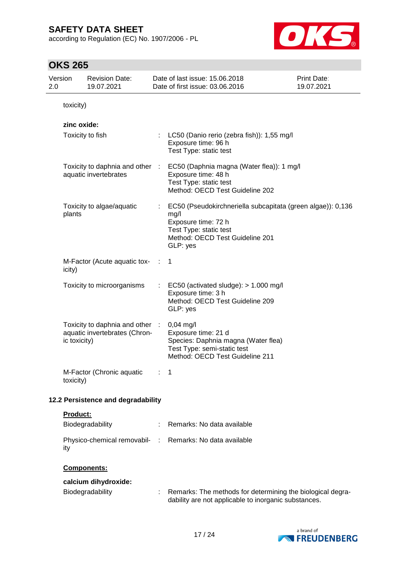according to Regulation (EC) No. 1907/2006 - PL



| 2.0 | Version         | <b>Revision Date:</b><br>19.07.2021                              |   | Date of last issue: 15.06.2018<br>Date of first issue: 03.06.2016                                                                                                   | Print Date:<br>19.07.2021 |
|-----|-----------------|------------------------------------------------------------------|---|---------------------------------------------------------------------------------------------------------------------------------------------------------------------|---------------------------|
|     | toxicity)       |                                                                  |   |                                                                                                                                                                     |                           |
|     | zinc oxide:     | Toxicity to fish                                                 |   | LC50 (Danio rerio (zebra fish)): 1,55 mg/l<br>Exposure time: 96 h<br>Test Type: static test                                                                         |                           |
|     |                 | Toxicity to daphnia and other :<br>aquatic invertebrates         |   | EC50 (Daphnia magna (Water flea)): 1 mg/l<br>Exposure time: 48 h<br>Test Type: static test<br>Method: OECD Test Guideline 202                                       |                           |
|     | plants          | Toxicity to algae/aquatic                                        |   | EC50 (Pseudokirchneriella subcapitata (green algae)): 0,136<br>mg/l<br>Exposure time: 72 h<br>Test Type: static test<br>Method: OECD Test Guideline 201<br>GLP: yes |                           |
|     | icity)          | M-Factor (Acute aquatic tox-                                     |   | $\mathbf 1$                                                                                                                                                         |                           |
|     |                 | Toxicity to microorganisms                                       | ÷ | EC50 (activated sludge): $> 1.000$ mg/l<br>Exposure time: 3 h<br>Method: OECD Test Guideline 209<br>GLP: yes                                                        |                           |
|     | ic toxicity)    | Toxicity to daphnia and other :<br>aquatic invertebrates (Chron- |   | $0,04$ mg/l<br>Exposure time: 21 d<br>Species: Daphnia magna (Water flea)<br>Test Type: semi-static test<br>Method: OECD Test Guideline 211                         |                           |
|     | toxicity)       | M-Factor (Chronic aquatic                                        | ÷ | 1                                                                                                                                                                   |                           |
|     |                 | 12.2 Persistence and degradability                               |   |                                                                                                                                                                     |                           |
|     | <b>Product:</b> | Biodegradability                                                 |   | Remarks: No data available                                                                                                                                          |                           |
|     | ity             | Physico-chemical removabil- :                                    |   | Remarks: No data available                                                                                                                                          |                           |
|     |                 | Components:                                                      |   |                                                                                                                                                                     |                           |
|     |                 | calcium dihydroxide:<br>Biodegradability                         |   | Remarks: The methods for determining the biological degra-<br>dability are not applicable to inorganic substances.                                                  |                           |

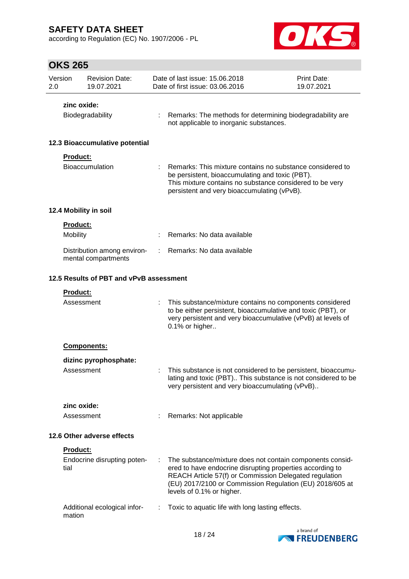according to Regulation (EC) No. 1907/2006 - PL



| Version<br>2.0 |                            | <b>Revision Date:</b><br>19.07.2021                |    | Date of last issue: 15,06,2018<br>Date of first issue: 03.06.2016                                                                                                                                                                                                         | Print Date:<br>19.07.2021 |  |  |
|----------------|----------------------------|----------------------------------------------------|----|---------------------------------------------------------------------------------------------------------------------------------------------------------------------------------------------------------------------------------------------------------------------------|---------------------------|--|--|
|                | zinc oxide:                |                                                    |    |                                                                                                                                                                                                                                                                           |                           |  |  |
|                |                            | Biodegradability                                   |    | Remarks: The methods for determining biodegradability are<br>not applicable to inorganic substances.                                                                                                                                                                      |                           |  |  |
|                |                            | 12.3 Bioaccumulative potential                     |    |                                                                                                                                                                                                                                                                           |                           |  |  |
|                | <b>Product:</b>            | Bioaccumulation                                    |    | Remarks: This mixture contains no substance considered to<br>be persistent, bioaccumulating and toxic (PBT).<br>This mixture contains no substance considered to be very<br>persistent and very bioaccumulating (vPvB).                                                   |                           |  |  |
|                |                            | 12.4 Mobility in soil                              |    |                                                                                                                                                                                                                                                                           |                           |  |  |
|                | <b>Product:</b>            |                                                    |    |                                                                                                                                                                                                                                                                           |                           |  |  |
|                | Mobility                   |                                                    |    | Remarks: No data available                                                                                                                                                                                                                                                |                           |  |  |
|                |                            | Distribution among environ-<br>mental compartments | ÷. | Remarks: No data available                                                                                                                                                                                                                                                |                           |  |  |
|                |                            | 12.5 Results of PBT and vPvB assessment            |    |                                                                                                                                                                                                                                                                           |                           |  |  |
|                | Product:                   |                                                    |    |                                                                                                                                                                                                                                                                           |                           |  |  |
|                | Assessment                 |                                                    |    | This substance/mixture contains no components considered<br>to be either persistent, bioaccumulative and toxic (PBT), or<br>very persistent and very bioaccumulative (vPvB) at levels of<br>0.1% or higher                                                                |                           |  |  |
|                |                            | <b>Components:</b>                                 |    |                                                                                                                                                                                                                                                                           |                           |  |  |
|                |                            | dizinc pyrophosphate:                              |    |                                                                                                                                                                                                                                                                           |                           |  |  |
|                | Assessment                 |                                                    |    | This substance is not considered to be persistent, bioaccumu-<br>lating and toxic (PBT) This substance is not considered to be<br>very persistent and very bioaccumulating (vPvB)                                                                                         |                           |  |  |
|                | zinc oxide:                |                                                    |    |                                                                                                                                                                                                                                                                           |                           |  |  |
|                | Assessment                 |                                                    |    | Remarks: Not applicable                                                                                                                                                                                                                                                   |                           |  |  |
|                | 12.6 Other adverse effects |                                                    |    |                                                                                                                                                                                                                                                                           |                           |  |  |
|                | Product:                   |                                                    |    |                                                                                                                                                                                                                                                                           |                           |  |  |
|                | tial                       | Endocrine disrupting poten-                        | ÷  | The substance/mixture does not contain components consid-<br>ered to have endocrine disrupting properties according to<br>REACH Article 57(f) or Commission Delegated regulation<br>(EU) 2017/2100 or Commission Regulation (EU) 2018/605 at<br>levels of 0.1% or higher. |                           |  |  |
|                | mation                     | Additional ecological infor-                       |    | Toxic to aquatic life with long lasting effects.                                                                                                                                                                                                                          |                           |  |  |

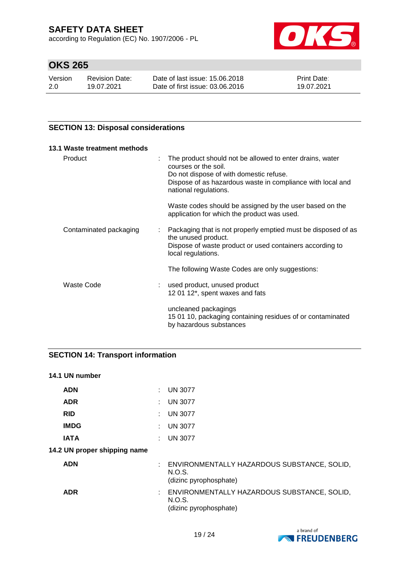according to Regulation (EC) No. 1907/2006 - PL



# **OKS 265**

| Version | <b>Revision Date:</b> | Date of last issue: 15,06,2018  | <b>Print Date:</b> |
|---------|-----------------------|---------------------------------|--------------------|
| 2.0     | 19.07.2021            | Date of first issue: 03.06.2016 | 19.07.2021         |

## **SECTION 13: Disposal considerations**

| 13.1 Waste treatment methods              |                                                                                                                                                                                                                                                 |
|-------------------------------------------|-------------------------------------------------------------------------------------------------------------------------------------------------------------------------------------------------------------------------------------------------|
| Product                                   | The product should not be allowed to enter drains, water<br>$\mathbb{Z}^{\mathbb{Z}}$<br>courses or the soil.<br>Do not dispose of with domestic refuse.<br>Dispose of as hazardous waste in compliance with local and<br>national regulations. |
|                                           | Waste codes should be assigned by the user based on the<br>application for which the product was used.                                                                                                                                          |
| Contaminated packaging                    | : Packaging that is not properly emptied must be disposed of as<br>the unused product.<br>Dispose of waste product or used containers according to<br>local regulations.                                                                        |
|                                           | The following Waste Codes are only suggestions:                                                                                                                                                                                                 |
| Waste Code<br>$\mathcal{L}^{\mathcal{L}}$ | used product, unused product<br>12 01 12*, spent waxes and fats                                                                                                                                                                                 |
|                                           | uncleaned packagings<br>15 01 10, packaging containing residues of or contaminated<br>by hazardous substances                                                                                                                                   |

## **SECTION 14: Transport information**

#### **14.1 UN number**

| <b>ADN</b>                   | : UN 3077                                                                         |
|------------------------------|-----------------------------------------------------------------------------------|
| <b>ADR</b>                   | $:$ UN 3077                                                                       |
| <b>RID</b>                   | $:$ UN 3077                                                                       |
| <b>IMDG</b>                  | : UN 3077                                                                         |
| <b>IATA</b>                  | <b>UN 3077</b>                                                                    |
| 14.2 UN proper shipping name |                                                                                   |
| <b>ADN</b>                   | : ENVIRONMENTALLY HAZARDOUS SUBSTANCE, SOLID,<br>N.O.S.<br>(dizinc pyrophosphate) |
| <b>ADR</b>                   | : ENVIRONMENTALLY HAZARDOUS SUBSTANCE, SOLID,<br>N.O.S.<br>(dizinc pyrophosphate) |

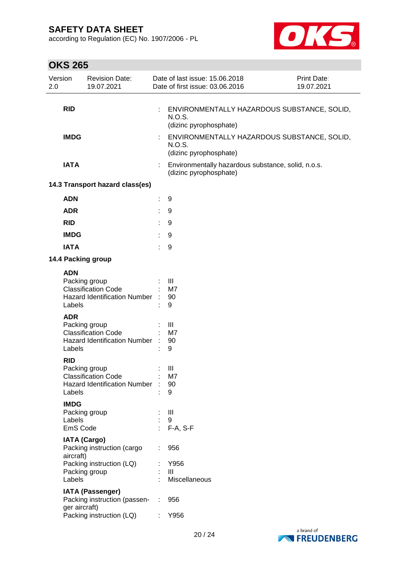according to Regulation (EC) No. 1907/2006 - PL



| 2.0 | Version                           | <b>Revision Date:</b><br>19.07.2021                                                |    | Date of last issue: 15.06.2018<br>Date of first issue: 03.06.2016               | Print Date:<br>19.07.2021 |
|-----|-----------------------------------|------------------------------------------------------------------------------------|----|---------------------------------------------------------------------------------|---------------------------|
|     | <b>RID</b>                        |                                                                                    |    | ENVIRONMENTALLY HAZARDOUS SUBSTANCE, SOLID,<br>N.O.S.<br>(dizinc pyrophosphate) |                           |
|     | <b>IMDG</b>                       |                                                                                    | ÷  | ENVIRONMENTALLY HAZARDOUS SUBSTANCE, SOLID,<br>N.O.S.<br>(dizinc pyrophosphate) |                           |
|     | <b>IATA</b>                       |                                                                                    |    | Environmentally hazardous substance, solid, n.o.s.<br>(dizinc pyrophosphate)    |                           |
|     |                                   | 14.3 Transport hazard class(es)                                                    |    |                                                                                 |                           |
|     | <b>ADN</b>                        |                                                                                    | ÷. | 9                                                                               |                           |
|     | <b>ADR</b>                        |                                                                                    | t  | 9                                                                               |                           |
|     | <b>RID</b>                        |                                                                                    |    | 9                                                                               |                           |
|     | <b>IMDG</b>                       |                                                                                    |    | 9                                                                               |                           |
|     | <b>IATA</b>                       |                                                                                    |    | 9                                                                               |                           |
|     |                                   | 14.4 Packing group                                                                 |    |                                                                                 |                           |
|     | <b>ADN</b><br>Labels              | Packing group<br><b>Classification Code</b><br>Hazard Identification Number :      |    | Ш<br>M7<br>90<br>9                                                              |                           |
|     | <b>ADR</b><br>Labels              | Packing group<br><b>Classification Code</b><br><b>Hazard Identification Number</b> |    | III<br>M7<br>90<br>9                                                            |                           |
|     | <b>RID</b><br>Labels              | Packing group<br><b>Classification Code</b><br>Hazard Identification Number :      |    | Ш<br>M7<br>90<br>9                                                              |                           |
|     | <b>IMDG</b><br>Labels<br>EmS Code | Packing group                                                                      |    | Ш<br>9<br>F-A, S-F                                                              |                           |
|     | aircraft)                         | <b>IATA (Cargo)</b><br>Packing instruction (cargo                                  |    | 956                                                                             |                           |
|     | Labels                            | Packing instruction (LQ)<br>Packing group                                          |    | Y956<br>Ш<br>Miscellaneous                                                      |                           |
|     | ger aircraft)                     | <b>IATA (Passenger)</b><br>Packing instruction (passen-                            | ÷  | 956                                                                             |                           |
|     |                                   | Packing instruction (LQ)                                                           |    | Y956                                                                            |                           |

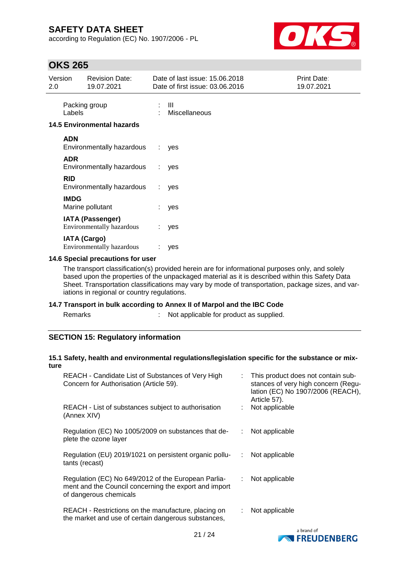according to Regulation (EC) No. 1907/2006 - PL



## **OKS 265**

| Version<br>2.0 |                     | <b>Revision Date:</b><br>19.07.2021                         |    | Date of last issue: 15.06.2018<br>Date of first issue: 03.06.2016 | <b>Print Date:</b><br>19.07.2021 |
|----------------|---------------------|-------------------------------------------------------------|----|-------------------------------------------------------------------|----------------------------------|
|                | Labels              | Packing group                                               |    | Ш<br>Miscellaneous                                                |                                  |
|                |                     | <b>14.5 Environmental hazards</b>                           |    |                                                                   |                                  |
|                | <b>ADN</b>          | Environmentally hazardous                                   | ÷. | yes                                                               |                                  |
|                | <b>ADR</b>          | Environmentally hazardous                                   | t. | yes                                                               |                                  |
|                | <b>RID</b>          | Environmentally hazardous                                   | ÷. | yes                                                               |                                  |
|                | <b>IMDG</b>         | Marine pollutant                                            |    | yes                                                               |                                  |
|                |                     | <b>IATA (Passenger)</b><br><b>Environmentally hazardous</b> | t. | yes                                                               |                                  |
|                | <b>IATA (Cargo)</b> | <b>Environmentally hazardous</b>                            |    | yes                                                               |                                  |

## **14.6 Special precautions for user**

The transport classification(s) provided herein are for informational purposes only, and solely based upon the properties of the unpackaged material as it is described within this Safety Data Sheet. Transportation classifications may vary by mode of transportation, package sizes, and variations in regional or country regulations.

#### **14.7 Transport in bulk according to Annex II of Marpol and the IBC Code**

s and  $\mathbb{R}^2$  : Not applicable for product as supplied.

## **SECTION 15: Regulatory information**

#### **15.1 Safety, health and environmental regulations/legislation specific for the substance or mixture**

| REACH - Candidate List of Substances of Very High<br>Concern for Authorisation (Article 59).                                           |    | : This product does not contain sub-<br>stances of very high concern (Regu-<br>lation (EC) No 1907/2006 (REACH),<br>Article 57). |
|----------------------------------------------------------------------------------------------------------------------------------------|----|----------------------------------------------------------------------------------------------------------------------------------|
| REACH - List of substances subject to authorisation<br>(Annex XIV)                                                                     |    | Not applicable                                                                                                                   |
| Regulation (EC) No 1005/2009 on substances that de-<br>plete the ozone layer                                                           |    | Not applicable                                                                                                                   |
| Regulation (EU) 2019/1021 on persistent organic pollu-<br>tants (recast)                                                               | ÷  | Not applicable                                                                                                                   |
| Regulation (EC) No 649/2012 of the European Parlia-<br>ment and the Council concerning the export and import<br>of dangerous chemicals | ÷. | Not applicable                                                                                                                   |
| REACH - Restrictions on the manufacture, placing on<br>the market and use of certain dangerous substances,                             |    | Not applicable                                                                                                                   |
|                                                                                                                                        |    | a brand of                                                                                                                       |

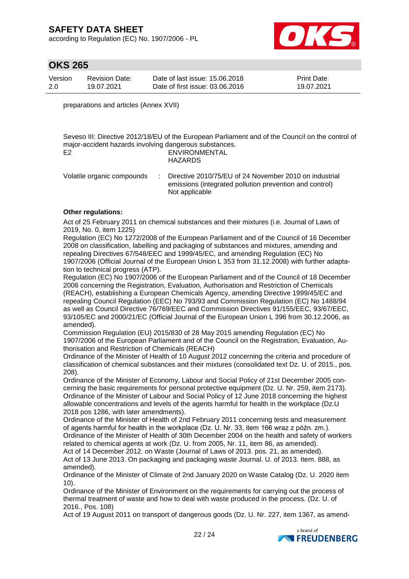according to Regulation (EC) No. 1907/2006 - PL



## **OKS 265**

| Version | <b>Revision Date:</b> | Date of last issue: 15,06,2018  | <b>Print Date:</b> |
|---------|-----------------------|---------------------------------|--------------------|
| 2.0     | 19.07.2021            | Date of first issue: 03.06.2016 | 19.07.2021         |

preparations and articles (Annex XVII)

Seveso III: Directive 2012/18/EU of the European Parliament and of the Council on the control of major-accident hazards involving dangerous substances. E2 ENVIRONMENTAL HAZARDS

Volatile organic compounds : Directive 2010/75/EU of 24 November 2010 on industrial emissions (integrated pollution prevention and control) Not applicable

#### **Other regulations:**

Act of 25 February 2011 on chemical substances and their mixtures (i.e. Journal of Laws of 2019, No. 0, item 1225)

Regulation (EC) No 1272/2008 of the European Parliament and of the Council of 16 December 2008 on classification, labelling and packaging of substances and mixtures, amending and repealing Directives 67/548/EEC and 1999/45/EC, and amending Regulation (EC) No 1907/2006 (Official Journal of the European Union L 353 from 31.12.2008) with further adaptation to technical progress (ATP).

Regulation (EC) No 1907/2006 of the European Parliament and of the Council of 18 December 2006 concerning the Registration, Evaluation, Authorisation and Restriction of Chemicals (REACH), establishing a European Chemicals Agency, amending Directive 1999/45/EC and repealing Council Regulation (EEC) No 793/93 and Commission Regulation (EC) No 1488/94 as well as Council Directive 76/769/EEC and Commission Directives 91/155/EEC, 93/67/EEC, 93/105/EC and 2000/21/EC (Official Journal of the European Union L 396 from 30.12.2006, as amended).

Commission Regulation (EU) 2015/830 of 28 May 2015 amending Regulation (EC) No 1907/2006 of the European Parliament and of the Council on the Registration, Evaluation, Authorisation and Restriction of Chemicals (REACH)

Ordinance of the Minister of Health of 10 August 2012 concerning the criteria and procedure of classification of chemical substances and their mixtures (consolidated text Dz. U. of 2015., pos. 208).

Ordinance of the Minister of Economy, Labour and Social Policy of 21st December 2005 concerning the basic requirements for personal protective equipment (Dz. U. Nr. 259, item 2173). Ordinance of the Minister of Labour and Social Policy of 12 June 2018 concerning the highest allowable concentrations and levels of the agents harmful for health in the workplace (Dz.U 2018 pos 1286, with later amendments).

Ordinance of the Minister of Health of 2nd February 2011 concerning tests and measurement of agents harmful for health in the workplace (Dz. U. Nr. 33, item 166 wraz z późn. zm.). Ordinance of the Minister of Health of 30th December 2004 on the health and safety of workers related to chemical agents at work (Dz. U. from 2005, Nr. 11, item 86, as amended). Act of 14 December 2012. on Waste (Journal of Laws of 2013. pos. 21, as amended).

Act of 13 June 2013. On packaging and packaging waste Journal. U. of 2013. Item. 888, as amended).

Ordinance of the Minister of Climate of 2nd January 2020 on Waste Catalog (Dz. U. 2020 item 10).

Ordinance of the Minister of Environment on the requirements for carrying out the process of thermal treatment of waste and how to deal with waste produced in the process. (Dz. U. of 2016., Pos. 108)

Act of 19 August 2011 on transport of dangerous goods (Dz. U. Nr. 227, item 1367, as amend-

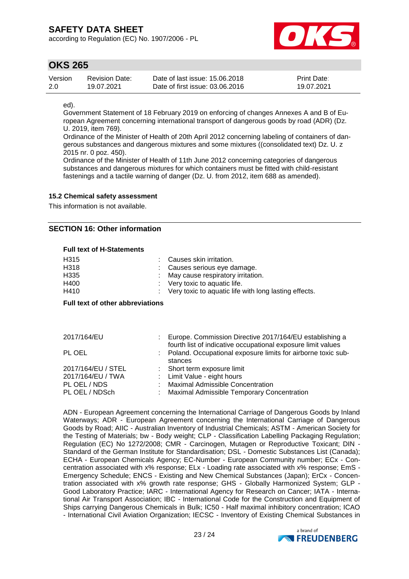according to Regulation (EC) No. 1907/2006 - PL



## **OKS 265**

| Version | Revision Date: | Date of last issue: 15,06,2018  | <b>Print Date:</b> |
|---------|----------------|---------------------------------|--------------------|
| -2.0    | 19.07.2021     | Date of first issue: 03.06.2016 | 19.07.2021         |

ed).

Government Statement of 18 February 2019 on enforcing of changes Annexes A and B of European Agreement concerning international transport of dangerous goods by road (ADR) (Dz. U. 2019, item 769).

Ordinance of the Minister of Health of 20th April 2012 concerning labeling of containers of dangerous substances and dangerous mixtures and some mixtures ((consolidated text) Dz. U. z 2015 nr. 0 poz. 450).

Ordinance of the Minister of Health of 11th June 2012 concerning categories of dangerous substances and dangerous mixtures for which containers must be fitted with child-resistant fastenings and a tactile warning of danger (Dz. U. from 2012, item 688 as amended).

### **15.2 Chemical safety assessment**

This information is not available.

## **SECTION 16: Other information**

#### **Full text of H-Statements**

| H315 | : Causes skin irritation.                               |
|------|---------------------------------------------------------|
| H318 | : Causes serious eye damage.                            |
| H335 | May cause respiratory irritation.                       |
| H400 | $\therefore$ Very toxic to aquatic life.                |
| H410 | : Very toxic to aquatic life with long lasting effects. |

#### **Full text of other abbreviations**

| 2017/164/EU        | Europe. Commission Directive 2017/164/EU establishing a<br>fourth list of indicative occupational exposure limit values |
|--------------------|-------------------------------------------------------------------------------------------------------------------------|
| PL OEL             | Poland. Occupational exposure limits for airborne toxic sub-<br>stances                                                 |
| 2017/164/EU / STEL | : Short term exposure limit                                                                                             |
| 2017/164/EU / TWA  | : Limit Value - eight hours                                                                                             |
| PL OEL / NDS       | : Maximal Admissible Concentration                                                                                      |
| PL OEL / NDSch     | : Maximal Admissible Temporary Concentration                                                                            |

ADN - European Agreement concerning the International Carriage of Dangerous Goods by Inland Waterways; ADR - European Agreement concerning the International Carriage of Dangerous Goods by Road; AIIC - Australian Inventory of Industrial Chemicals; ASTM - American Society for the Testing of Materials; bw - Body weight; CLP - Classification Labelling Packaging Regulation; Regulation (EC) No 1272/2008; CMR - Carcinogen, Mutagen or Reproductive Toxicant; DIN - Standard of the German Institute for Standardisation; DSL - Domestic Substances List (Canada); ECHA - European Chemicals Agency; EC-Number - European Community number; ECx - Concentration associated with x% response; ELx - Loading rate associated with x% response; EmS - Emergency Schedule; ENCS - Existing and New Chemical Substances (Japan); ErCx - Concentration associated with x% growth rate response; GHS - Globally Harmonized System; GLP - Good Laboratory Practice; IARC - International Agency for Research on Cancer; IATA - International Air Transport Association; IBC - International Code for the Construction and Equipment of Ships carrying Dangerous Chemicals in Bulk; IC50 - Half maximal inhibitory concentration; ICAO - International Civil Aviation Organization; IECSC - Inventory of Existing Chemical Substances in